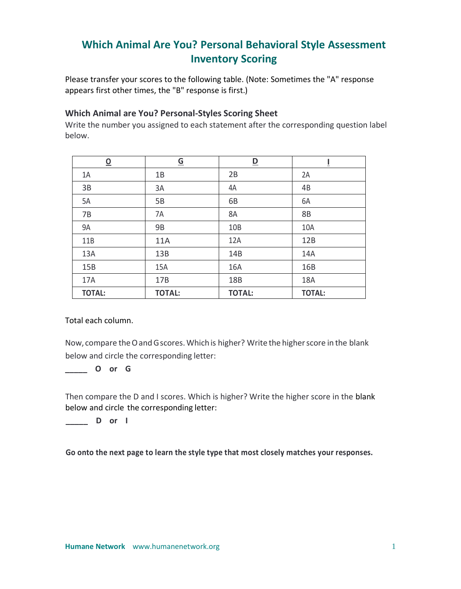# **Which Animal Are You? Personal Behavioral Style Assessment Inventory Scoring**

Please transfer your scores to the following table. (Note: Sometimes the "A" response appears first other times, the "B" response is first.)

## **Which Animal are You? Personal-Styles Scoring Sheet**

Write the number you assigned to each statement after the corresponding question label below.

| $\overline{\mathbf{o}}$ | $\underline{\mathsf{G}}$ | $\underline{\mathsf{D}}$ | Ī             |
|-------------------------|--------------------------|--------------------------|---------------|
| 1A                      | 1B                       | 2B                       | 2A            |
| 3B                      | 3A                       | 4A                       | 4B            |
| 5A                      | 5B                       | 6B                       | 6A            |
| 7B                      | 7A                       | 8A                       | <b>8B</b>     |
| 9A                      | <b>9B</b>                | 10B                      | 10A           |
| 11B                     | 11A                      | 12A                      | 12B           |
| 13A                     | 13B                      | 14B                      | 14A           |
| 15B                     | 15A                      | 16A                      | 16B           |
| 17A                     | 17B                      | 18B                      | 18A           |
| <b>TOTAL:</b>           | <b>TOTAL:</b>            | <b>TOTAL:</b>            | <b>TOTAL:</b> |

Total each column.

Now, compare the O and G scores. Which is higher? Write the higher score in the blank below and circle the corresponding letter:

## **\_\_\_\_\_ O or G**

Then compare the D and I scores. Which is higher? Write the higher score in the blank below and circle the corresponding letter:

## **\_\_\_\_\_ D or I**

**Go onto the next page to learn the style type that most closely matches your responses.**